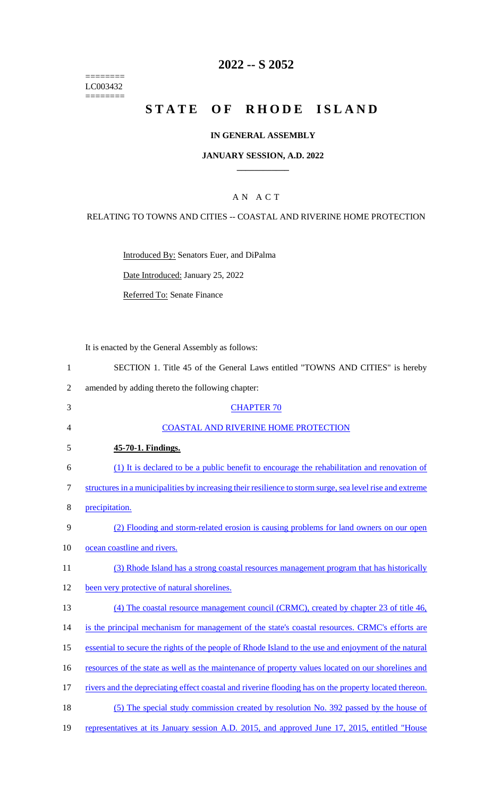======== LC003432 ========

### **2022 -- S 2052**

# **STATE OF RHODE ISLAND**

#### **IN GENERAL ASSEMBLY**

#### **JANUARY SESSION, A.D. 2022 \_\_\_\_\_\_\_\_\_\_\_\_**

### A N A C T

#### RELATING TO TOWNS AND CITIES -- COASTAL AND RIVERINE HOME PROTECTION

Introduced By: Senators Euer, and DiPalma

Date Introduced: January 25, 2022

Referred To: Senate Finance

It is enacted by the General Assembly as follows:

- 1 SECTION 1. Title 45 of the General Laws entitled "TOWNS AND CITIES" is hereby
- 2 amended by adding thereto the following chapter:
- 3 CHAPTER 70 4 COASTAL AND RIVERINE HOME PROTECTION 5 **45-70-1. Findings.**  6 (1) It is declared to be a public benefit to encourage the rehabilitation and renovation of 7 structures in a municipalities by increasing their resilience to storm surge, sea level rise and extreme 8 precipitation. 9 (2) Flooding and storm-related erosion is causing problems for land owners on our open 10 ocean coastline and rivers. 11 (3) Rhode Island has a strong coastal resources management program that has historically 12 been very protective of natural shorelines. 13 (4) The coastal resource management council (CRMC), created by chapter 23 of title 46, 14 is the principal mechanism for management of the state's coastal resources. CRMC's efforts are 15 essential to secure the rights of the people of Rhode Island to the use and enjoyment of the natural 16 resources of the state as well as the maintenance of property values located on our shorelines and 17 rivers and the depreciating effect coastal and riverine flooding has on the property located thereon. 18 (5) The special study commission created by resolution No. 392 passed by the house of 19 representatives at its January session A.D. 2015, and approved June 17, 2015, entitled "House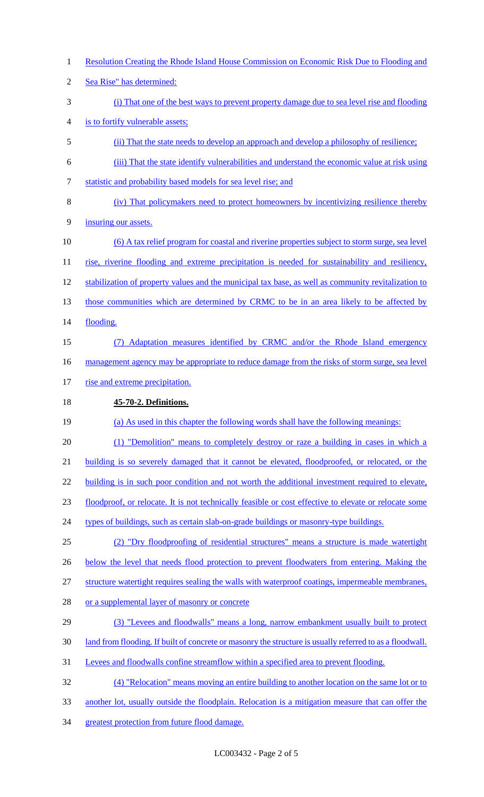- Resolution Creating the Rhode Island House Commission on Economic Risk Due to Flooding and Sea Rise" has determined: (i) That one of the best ways to prevent property damage due to sea level rise and flooding is to fortify vulnerable assets; (ii) That the state needs to develop an approach and develop a philosophy of resilience; (iii) That the state identify vulnerabilities and understand the economic value at risk using statistic and probability based models for sea level rise; and (iv) That policymakers need to protect homeowners by incentivizing resilience thereby insuring our assets. (6) A tax relief program for coastal and riverine properties subject to storm surge, sea level 11 rise, riverine flooding and extreme precipitation is needed for sustainability and resiliency, 12 stabilization of property values and the municipal tax base, as well as community revitalization to 13 those communities which are determined by CRMC to be in an area likely to be affected by 14 flooding. (7) Adaptation measures identified by CRMC and/or the Rhode Island emergency 16 management agency may be appropriate to reduce damage from the risks of storm surge, sea level 17 rise and extreme precipitation. **45-70-2. Definitions.** (a) As used in this chapter the following words shall have the following meanings: 20 (1) "Demolition" means to completely destroy or raze a building in cases in which a building is so severely damaged that it cannot be elevated, floodproofed, or relocated, or the 22 building is in such poor condition and not worth the additional investment required to elevate,
- floodproof, or relocate. It is not technically feasible or cost effective to elevate or relocate some

24 types of buildings, such as certain slab-on-grade buildings or masonry-type buildings.

(2) "Dry floodproofing of residential structures" means a structure is made watertight

26 below the level that needs flood protection to prevent floodwaters from entering. Making the

structure watertight requires sealing the walls with waterproof coatings, impermeable membranes,

- 28 or a supplemental layer of masonry or concrete
- 29 (3) "Levees and floodwalls" means a long, narrow embankment usually built to protect
- land from flooding. If built of concrete or masonry the structure is usually referred to as a floodwall.
- Levees and floodwalls confine streamflow within a specified area to prevent flooding.

(4) "Relocation" means moving an entire building to another location on the same lot or to

- another lot, usually outside the floodplain. Relocation is a mitigation measure that can offer the
- greatest protection from future flood damage.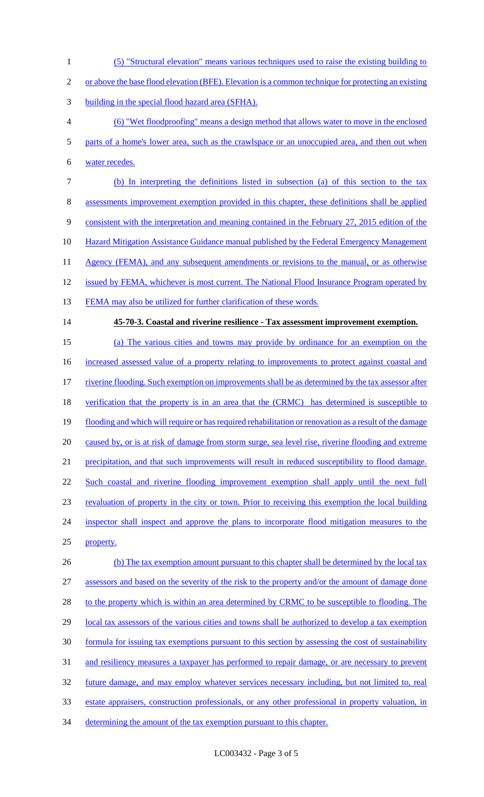- 1 (5) "Structural elevation" means various techniques used to raise the existing building to
- 2 or above the base flood elevation (BFE). Elevation is a common technique for protecting an existing
- 3 building in the special flood hazard area (SFHA).
- 4 (6) "Wet floodproofing" means a design method that allows water to move in the enclosed 5 parts of a home's lower area, such as the crawlspace or an unoccupied area, and then out when 6 water recedes.
- 7 (b) In interpreting the definitions listed in subsection (a) of this section to the tax 8 assessments improvement exemption provided in this chapter, these definitions shall be applied 9 consistent with the interpretation and meaning contained in the February 27, 2015 edition of the
- 10 Hazard Mitigation Assistance Guidance manual published by the Federal Emergency Management
- 11 Agency (FEMA), and any subsequent amendments or revisions to the manual, or as otherwise
- 12 issued by FEMA, whichever is most current. The National Flood Insurance Program operated by
- 13 FEMA may also be utilized for further clarification of these words.
- 14 **45-70-3. Coastal and riverine resilience - Tax assessment improvement exemption.**

 (a) The various cities and towns may provide by ordinance for an exemption on the 16 increased assessed value of a property relating to improvements to protect against coastal and riverine flooding. Such exemption on improvements shall be as determined by the tax assessor after 18 verification that the property is in an area that the (CRMC) has determined is susceptible to flooding and which will require or has required rehabilitation or renovation as a result of the damage 20 caused by, or is at risk of damage from storm surge, sea level rise, riverine flooding and extreme precipitation, and that such improvements will result in reduced susceptibility to flood damage. Such coastal and riverine flooding improvement exemption shall apply until the next full revaluation of property in the city or town. Prior to receiving this exemption the local building inspector shall inspect and approve the plans to incorporate flood mitigation measures to the property. 26 (b) The tax exemption amount pursuant to this chapter shall be determined by the local tax

27 assessors and based on the severity of the risk to the property and/or the amount of damage done 28 to the property which is within an area determined by CRMC to be susceptible to flooding. The 29 local tax assessors of the various cities and towns shall be authorized to develop a tax exemption 30 formula for issuing tax exemptions pursuant to this section by assessing the cost of sustainability 31 and resiliency measures a taxpayer has performed to repair damage, or are necessary to prevent 32 future damage, and may employ whatever services necessary including, but not limited to, real 33 estate appraisers, construction professionals, or any other professional in property valuation, in

34 determining the amount of the tax exemption pursuant to this chapter.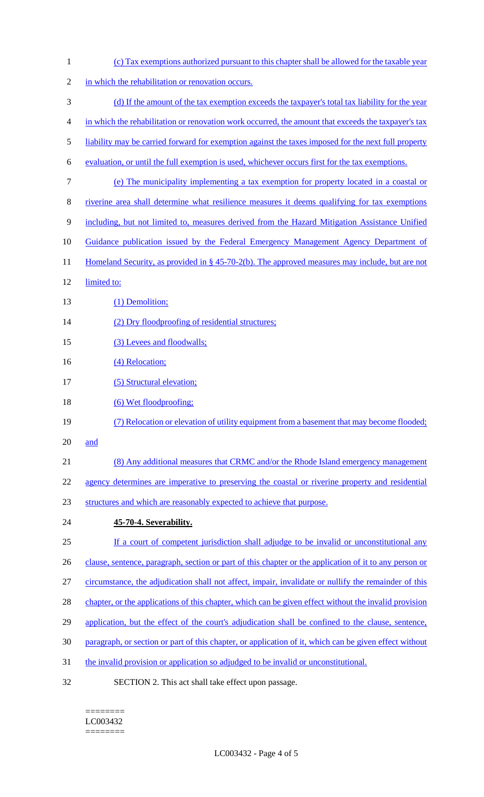| $\mathbf{1}$   | (c) Tax exemptions authorized pursuant to this chapter shall be allowed for the taxable year           |
|----------------|--------------------------------------------------------------------------------------------------------|
| $\overline{2}$ | in which the rehabilitation or renovation occurs.                                                      |
| 3              | (d) If the amount of the tax exemption exceeds the tax payer's total tax liability for the year        |
| 4              | in which the rehabilitation or renovation work occurred, the amount that exceeds the taxpayer's tax    |
| 5              | liability may be carried forward for exemption against the taxes imposed for the next full property    |
| 6              | evaluation, or until the full exemption is used, whichever occurs first for the tax exemptions.        |
| 7              | (e) The municipality implementing a tax exemption for property located in a coastal or                 |
| 8              | riverine area shall determine what resilience measures it deems qualifying for tax exemptions          |
| 9              | including, but not limited to, measures derived from the Hazard Mitigation Assistance Unified          |
| 10             | Guidance publication issued by the Federal Emergency Management Agency Department of                   |
| 11             | Homeland Security, as provided in § 45-70-2(b). The approved measures may include, but are not         |
| 12             | limited to:                                                                                            |
| 13             | (1) Demolition;                                                                                        |
| 14             | (2) Dry floodproofing of residential structures;                                                       |
| 15             | (3) Levees and floodwalls;                                                                             |
| 16             | (4) Relocation;                                                                                        |
| 17             | (5) Structural elevation;                                                                              |
| 18             | (6) Wet floodproofing:                                                                                 |
| 19             | (7) Relocation or elevation of utility equipment from a basement that may become flooded;              |
| 20             | and                                                                                                    |
| 21             | (8) Any additional measures that CRMC and/or the Rhode Island emergency management                     |
| 22             | agency determines are imperative to preserving the coastal or riverine property and residential        |
| 23             | structures and which are reasonably expected to achieve that purpose.                                  |
| 24             | 45-70-4. Severability.                                                                                 |
| 25             | If a court of competent jurisdiction shall adjudge to be invalid or unconstitutional any               |
| 26             | clause, sentence, paragraph, section or part of this chapter or the application of it to any person or |
| 27             | circumstance, the adjudication shall not affect, impair, invalidate or nullify the remainder of this   |
| 28             | chapter, or the applications of this chapter, which can be given effect without the invalid provision  |
| 29             | application, but the effect of the court's adjudication shall be confined to the clause, sentence,     |
| 30             | paragraph, or section or part of this chapter, or application of it, which can be given effect without |
| 31             | the invalid provision or application so adjudged to be invalid or unconstitutional.                    |
| 32             | SECTION 2. This act shall take effect upon passage.                                                    |

#### $=$ LC003432

========